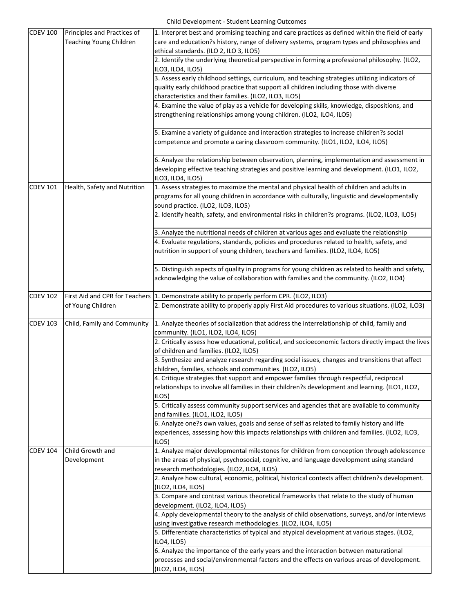| <b>CDEV 100</b> | Principles and Practices of<br><b>Teaching Young Children</b> | 1. Interpret best and promising teaching and care practices as defined within the field of early<br>care and education?s history, range of delivery systems, program types and philosophies and<br>ethical standards. (ILO 2, ILO 3, ILO5)                                                                                                            |
|-----------------|---------------------------------------------------------------|-------------------------------------------------------------------------------------------------------------------------------------------------------------------------------------------------------------------------------------------------------------------------------------------------------------------------------------------------------|
|                 |                                                               | 2. Identify the underlying theoretical perspective in forming a professional philosophy. (ILO2,<br>ILO3, ILO4, ILO5)                                                                                                                                                                                                                                  |
|                 |                                                               | 3. Assess early childhood settings, curriculum, and teaching strategies utilizing indicators of<br>quality early childhood practice that support all children including those with diverse<br>characteristics and their families. (ILO2, ILO3, ILO5)<br>4. Examine the value of play as a vehicle for developing skills, knowledge, dispositions, and |
|                 |                                                               | strengthening relationships among young children. (ILO2, ILO4, ILO5)                                                                                                                                                                                                                                                                                  |
|                 |                                                               | 5. Examine a variety of guidance and interaction strategies to increase children?s social<br>competence and promote a caring classroom community. (ILO1, ILO2, ILO4, ILO5)                                                                                                                                                                            |
|                 |                                                               | 6. Analyze the relationship between observation, planning, implementation and assessment in<br>developing effective teaching strategies and positive learning and development. (ILO1, ILO2,<br>ILO3, ILO4, ILO5)                                                                                                                                      |
| <b>CDEV 101</b> | Health, Safety and Nutrition                                  | 1. Assess strategies to maximize the mental and physical health of children and adults in<br>programs for all young children in accordance with culturally, linguistic and developmentally<br>sound practice. (ILO2, ILO3, ILO5)                                                                                                                      |
|                 |                                                               | 2. Identify health, safety, and environmental risks in children?s programs. (ILO2, ILO3, ILO5)                                                                                                                                                                                                                                                        |
|                 |                                                               | 3. Analyze the nutritional needs of children at various ages and evaluate the relationship<br>4. Evaluate regulations, standards, policies and procedures related to health, safety, and<br>nutrition in support of young children, teachers and families. (ILO2, ILO4, ILO5)                                                                         |
|                 |                                                               | 5. Distinguish aspects of quality in programs for young children as related to health and safety,<br>acknowledging the value of collaboration with families and the community. (ILO2, ILO4)                                                                                                                                                           |
| <b>CDEV 102</b> | of Young Children                                             | First Aid and CPR for Teachers 1. Demonstrate ability to properly perform CPR. (ILO2, ILO3)<br>2. Demonstrate ability to properly apply First Aid procedures to various situations. (ILO2, ILO3)                                                                                                                                                      |
| <b>CDEV 103</b> | Child, Family and Community                                   | 1. Analyze theories of socialization that address the interrelationship of child, family and<br>community. (ILO1, ILO2, ILO4, ILO5)                                                                                                                                                                                                                   |
|                 |                                                               | 2. Critically assess how educational, political, and socioeconomic factors directly impact the lives<br>of children and families. (ILO2, ILO5)                                                                                                                                                                                                        |
|                 |                                                               | 3. Synthesize and analyze research regarding social issues, changes and transitions that affect<br>children, families, schools and communities. (ILO2, ILO5)                                                                                                                                                                                          |
|                 |                                                               | 4. Critique strategies that support and empower families through respectful, reciprocal<br>relationships to involve all families in their children?s development and learning. (ILO1, ILO2,<br>ILO <sub>5</sub>                                                                                                                                       |
|                 |                                                               | 5. Critically assess community support services and agencies that are available to community<br>and families. (ILO1, ILO2, ILO5)                                                                                                                                                                                                                      |
|                 |                                                               | 6. Analyze one?s own values, goals and sense of self as related to family history and life<br>experiences, assessing how this impacts relationships with children and families. (ILO2, ILO3,<br>ILO <sub>5</sub>                                                                                                                                      |
| <b>CDEV 104</b> | Child Growth and<br>Development                               | 1. Analyze major developmental milestones for children from conception through adolescence<br>in the areas of physical, psychosocial, cognitive, and language development using standard<br>research methodologies. (ILO2, ILO4, ILO5)                                                                                                                |
|                 |                                                               | 2. Analyze how cultural, economic, political, historical contexts affect children?s development.<br>(ILO2, ILO4, ILO5)                                                                                                                                                                                                                                |
|                 |                                                               | 3. Compare and contrast various theoretical frameworks that relate to the study of human<br>development. (ILO2, ILO4, ILO5)                                                                                                                                                                                                                           |
|                 |                                                               | 4. Apply developmental theory to the analysis of child observations, surveys, and/or interviews<br>using investigative research methodologies. (ILO2, ILO4, ILO5)                                                                                                                                                                                     |
|                 |                                                               | 5. Differentiate characteristics of typical and atypical development at various stages. (ILO2,<br>ILO4, ILO5)                                                                                                                                                                                                                                         |
|                 |                                                               | 6. Analyze the importance of the early years and the interaction between maturational<br>processes and social/environmental factors and the effects on various areas of development.<br>(ILO2, ILO4, ILO5)                                                                                                                                            |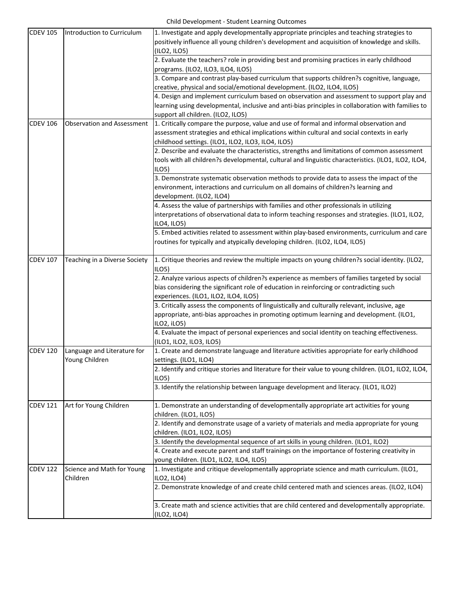| <b>CDEV 105</b> | Introduction to Curriculum                    | 1. Investigate and apply developmentally appropriate principles and teaching strategies to<br>positively influence all young children's development and acquisition of knowledge and skills. |
|-----------------|-----------------------------------------------|----------------------------------------------------------------------------------------------------------------------------------------------------------------------------------------------|
|                 |                                               | (ILO2, ILO5)                                                                                                                                                                                 |
|                 |                                               | 2. Evaluate the teachers? role in providing best and promising practices in early childhood                                                                                                  |
|                 |                                               | programs. (ILO2, ILO3, ILO4, ILO5)                                                                                                                                                           |
|                 |                                               | 3. Compare and contrast play-based curriculum that supports children?s cognitive, language,                                                                                                  |
|                 |                                               | creative, physical and social/emotional development. (ILO2, ILO4, ILO5)                                                                                                                      |
|                 |                                               | 4. Design and implement curriculum based on observation and assessment to support play and                                                                                                   |
|                 |                                               | learning using developmental, inclusive and anti-bias principles in collaboration with families to                                                                                           |
|                 |                                               | support all children. (ILO2, ILO5)                                                                                                                                                           |
| <b>CDEV 106</b> | <b>Observation and Assessment</b>             | 1. Critically compare the purpose, value and use of formal and informal observation and                                                                                                      |
|                 |                                               |                                                                                                                                                                                              |
|                 |                                               | assessment strategies and ethical implications within cultural and social contexts in early                                                                                                  |
|                 |                                               | childhood settings. (ILO1, ILO2, ILO3, ILO4, ILO5)                                                                                                                                           |
|                 |                                               | 2. Describe and evaluate the characteristics, strengths and limitations of common assessment                                                                                                 |
|                 |                                               | tools with all children?s developmental, cultural and linguistic characteristics. (ILO1, ILO2, ILO4,<br>ILO5)                                                                                |
|                 |                                               | 3. Demonstrate systematic observation methods to provide data to assess the impact of the                                                                                                    |
|                 |                                               | environment, interactions and curriculum on all domains of children?s learning and                                                                                                           |
|                 |                                               | development. (ILO2, ILO4)                                                                                                                                                                    |
|                 |                                               | 4. Assess the value of partnerships with families and other professionals in utilizing                                                                                                       |
|                 |                                               | interpretations of observational data to inform teaching responses and strategies. (ILO1, ILO2,                                                                                              |
|                 |                                               |                                                                                                                                                                                              |
|                 |                                               | ILO4, ILO5)                                                                                                                                                                                  |
|                 |                                               | 5. Embed activities related to assessment within play-based environments, curriculum and care                                                                                                |
|                 |                                               | routines for typically and atypically developing children. (ILO2, ILO4, ILO5)                                                                                                                |
| <b>CDEV 107</b> | Teaching in a Diverse Society                 | 1. Critique theories and review the multiple impacts on young children?s social identity. (ILO2,                                                                                             |
|                 |                                               | ILO <sub>5</sub>                                                                                                                                                                             |
|                 |                                               | 2. Analyze various aspects of children?s experience as members of families targeted by social                                                                                                |
|                 |                                               | bias considering the significant role of education in reinforcing or contradicting such                                                                                                      |
|                 |                                               | experiences. (ILO1, ILO2, ILO4, ILO5)                                                                                                                                                        |
|                 |                                               | 3. Critically assess the components of linguistically and culturally relevant, inclusive, age                                                                                                |
|                 |                                               | appropriate, anti-bias approaches in promoting optimum learning and development. (ILO1,                                                                                                      |
|                 |                                               | ILO2, iLO5)                                                                                                                                                                                  |
|                 |                                               | 4. Evaluate the impact of personal experiences and social identity on teaching effectiveness.                                                                                                |
|                 |                                               | (ILO1, ILO2, ILO3, ILO5)                                                                                                                                                                     |
| <b>CDEV 120</b> |                                               | 1. Create and demonstrate language and literature activities appropriate for early childhood                                                                                                 |
|                 | Language and Literature for<br>Young Children | settings. (ILO1, ILO4)                                                                                                                                                                       |
|                 |                                               | 2. Identify and critique stories and literature for their value to young children. (ILO1, ILO2, ILO4,                                                                                        |
|                 |                                               | ILO <sub>5</sub>                                                                                                                                                                             |
|                 |                                               | 3. Identify the relationship between language development and literacy. (ILO1, ILO2)                                                                                                         |
|                 |                                               |                                                                                                                                                                                              |
| <b>CDEV 121</b> | Art for Young Children                        | 1. Demonstrate an understanding of developmentally appropriate art activities for young                                                                                                      |
|                 |                                               | children. (ILO1, ILO5)                                                                                                                                                                       |
|                 |                                               | 2. Identify and demonstrate usage of a variety of materials and media appropriate for young                                                                                                  |
|                 |                                               | children. (ILO1, ILO2, ILO5)                                                                                                                                                                 |
|                 |                                               | 3. Identify the developmental sequence of art skills in young children. (ILO1, ILO2)                                                                                                         |
|                 |                                               | 4. Create and execute parent and staff trainings on the importance of fostering creativity in                                                                                                |
|                 |                                               | young children. (ILO1, ILO2, ILO4, ILO5)                                                                                                                                                     |
| <b>CDEV 122</b> | Science and Math for Young<br>Children        | 1. Investigate and critique developmentally appropriate science and math curriculum. (ILO1,                                                                                                  |
|                 |                                               | ILO2, ILO4)                                                                                                                                                                                  |
|                 |                                               | 2. Demonstrate knowledge of and create child centered math and sciences areas. (ILO2, ILO4)                                                                                                  |
|                 |                                               | 3. Create math and science activities that are child centered and developmentally appropriate.                                                                                               |
|                 |                                               | (ILO2, ILO4)                                                                                                                                                                                 |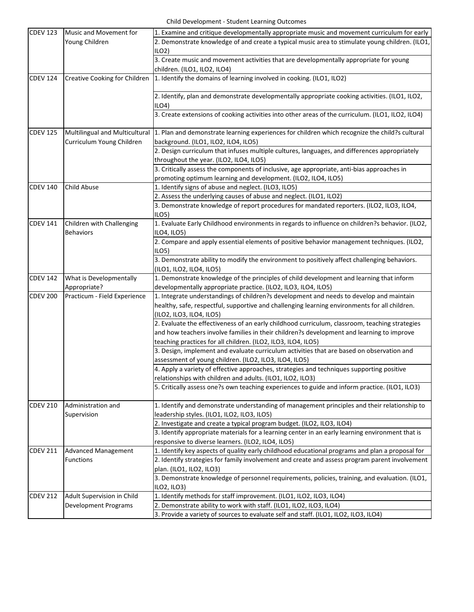| <b>CDEV 123</b> | Music and Movement for               | 1. Examine and critique developmentally appropriate music and movement curriculum for early                                                                                                 |
|-----------------|--------------------------------------|---------------------------------------------------------------------------------------------------------------------------------------------------------------------------------------------|
|                 | Young Children                       | 2. Demonstrate knowledge of and create a typical music area to stimulate young children. (ILO1,                                                                                             |
|                 |                                      | $ILO2$ )                                                                                                                                                                                    |
|                 |                                      | 3. Create music and movement activities that are developmentally appropriate for young                                                                                                      |
|                 |                                      | children. (ILO1, ILO2, ILO4)                                                                                                                                                                |
| <b>CDEV 124</b> | <b>Creative Cooking for Children</b> | 1. Identify the domains of learning involved in cooking. (ILO1, ILO2)                                                                                                                       |
|                 |                                      |                                                                                                                                                                                             |
|                 |                                      | 2. Identify, plan and demonstrate developmentally appropriate cooking activities. (ILO1, ILO2,                                                                                              |
|                 |                                      | ILO4                                                                                                                                                                                        |
|                 |                                      | 3. Create extensions of cooking activities into other areas of the curriculum. (ILO1, ILO2, ILO4)                                                                                           |
| <b>CDEV 125</b> | Multilingual and Multicultural       | 1. Plan and demonstrate learning experiences for children which recognize the child?s cultural                                                                                              |
|                 | Curriculum Young Children            | background. (ILO1, ILO2, ILO4, ILO5)                                                                                                                                                        |
|                 |                                      | 2. Design curriculum that infuses multiple cultures, languages, and differences appropriately                                                                                               |
|                 |                                      | throughout the year. (ILO2, ILO4, ILO5)                                                                                                                                                     |
|                 |                                      | 3. Critically assess the components of inclusive, age appropriate, anti-bias approaches in                                                                                                  |
|                 |                                      | promoting optimum learning and development. (ILO2, ILO4, ILO5)                                                                                                                              |
| <b>CDEV 140</b> | <b>Child Abuse</b>                   | 1. Identify signs of abuse and neglect. (ILO3, ILO5)                                                                                                                                        |
|                 |                                      | 2. Assess the underlying causes of abuse and neglect. (ILO1, ILO2)                                                                                                                          |
|                 |                                      | 3. Demonstrate knowledge of report procedures for mandated reporters. (ILO2, ILO3, ILO4,                                                                                                    |
|                 |                                      | ILO <sub>5</sub>                                                                                                                                                                            |
| <b>CDEV 141</b> | Children with Challenging            | 1. Evaluate Early Childhood environments in regards to influence on children?s behavior. (ILO2,                                                                                             |
|                 | <b>Behaviors</b>                     | ILO4, ILO5)                                                                                                                                                                                 |
|                 |                                      | 2. Compare and apply essential elements of positive behavior management techniques. (ILO2,                                                                                                  |
|                 |                                      | ILO <sub>5</sub>                                                                                                                                                                            |
|                 |                                      | 3. Demonstrate ability to modify the environment to positively affect challenging behaviors.                                                                                                |
|                 |                                      | (ILO1, ILO2, ILO4, ILO5)                                                                                                                                                                    |
| <b>CDEV 142</b> | What is Developmentally              | 1. Demonstrate knowledge of the principles of child development and learning that inform                                                                                                    |
|                 | Appropriate?                         | developmentally appropriate practice. (ILO2, ILO3, ILO4, ILO5)                                                                                                                              |
| <b>CDEV 200</b> | Practicum - Field Experience         | 1. Integrate understandings of children?s development and needs to develop and maintain                                                                                                     |
|                 |                                      | healthy, safe, respectful, supportive and challenging learning environments for all children.                                                                                               |
|                 |                                      | (ILO2, ILO3, ILO4, ILO5)                                                                                                                                                                    |
|                 |                                      | 2. Evaluate the effectiveness of an early childhood curriculum, classroom, teaching strategies<br>and how teachers involve families in their children?s development and learning to improve |
|                 |                                      |                                                                                                                                                                                             |
|                 |                                      | teaching practices for all children. (ILO2, ILO3, ILO4, ILO5)<br>3. Design, implement and evaluate curriculum activities that are based on observation and                                  |
|                 |                                      | assessment of young children. (ILO2, ILO3, ILO4, ILO5)                                                                                                                                      |
|                 |                                      | 4. Apply a variety of effective approaches, strategies and techniques supporting positive                                                                                                   |
|                 |                                      | relationships with children and adults. (ILO1, ILO2, ILO3)                                                                                                                                  |
|                 |                                      | 5. Critically assess one?s own teaching experiences to guide and inform practice. (ILO1, ILO3)                                                                                              |
|                 |                                      |                                                                                                                                                                                             |
| <b>CDEV 210</b> | Administration and                   | 1. Identify and demonstrate understanding of management principles and their relationship to                                                                                                |
|                 | Supervision                          | leadership styles. (ILO1, ILO2, ILO3, ILO5)                                                                                                                                                 |
|                 |                                      | 2. Investigate and create a typical program budget. (ILO2, ILO3, ILO4)                                                                                                                      |
|                 |                                      | 3. Identify appropriate materials for a learning center in an early learning environment that is                                                                                            |
|                 |                                      | responsive to diverse learners. (ILO2, ILO4, ILO5)                                                                                                                                          |
| <b>CDEV 211</b> | <b>Advanced Management</b>           | 1. Identify key aspects of quality early childhood educational programs and plan a proposal for                                                                                             |
|                 | <b>Functions</b>                     | 2. Identify strategies for family involvement and create and assess program parent involvement                                                                                              |
|                 |                                      | plan. (ILO1, ILO2, ILO3)                                                                                                                                                                    |
|                 |                                      | 3. Demonstrate knowledge of personnel requirements, policies, training, and evaluation. (ILO1,                                                                                              |
|                 |                                      | ILO2, ILO3)                                                                                                                                                                                 |
| <b>CDEV 212</b> | Adult Supervision in Child           | 1. Identify methods for staff improvement. (ILO1, ILO2, ILO3, ILO4)                                                                                                                         |
|                 | <b>Development Programs</b>          | 2. Demonstrate ability to work with staff. (ILO1, ILO2, ILO3, ILO4)                                                                                                                         |
|                 |                                      | 3. Provide a variety of sources to evaluate self and staff. (ILO1, ILO2, ILO3, ILO4)                                                                                                        |